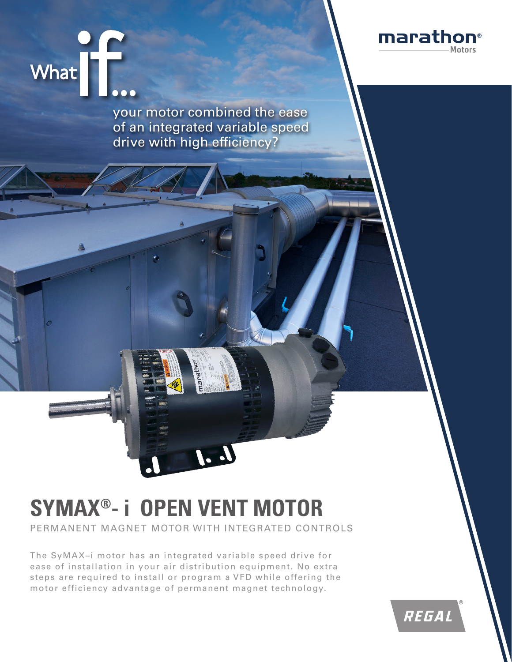



your motor combined the ease of an integrated variable speed drive with high efficiency?

# **SYMAX® - i OPEN VENT MOTOR**

PERMANENT MAGNET MOTOR WITH INTEGRATED CONTROLS

The SyMAX–i motor has an integrated variable speed drive for ease of installation in your air distribution equipment. No extra steps are required to install or program a VFD while offering the motor efficiency advantage of permanent magnet technology.